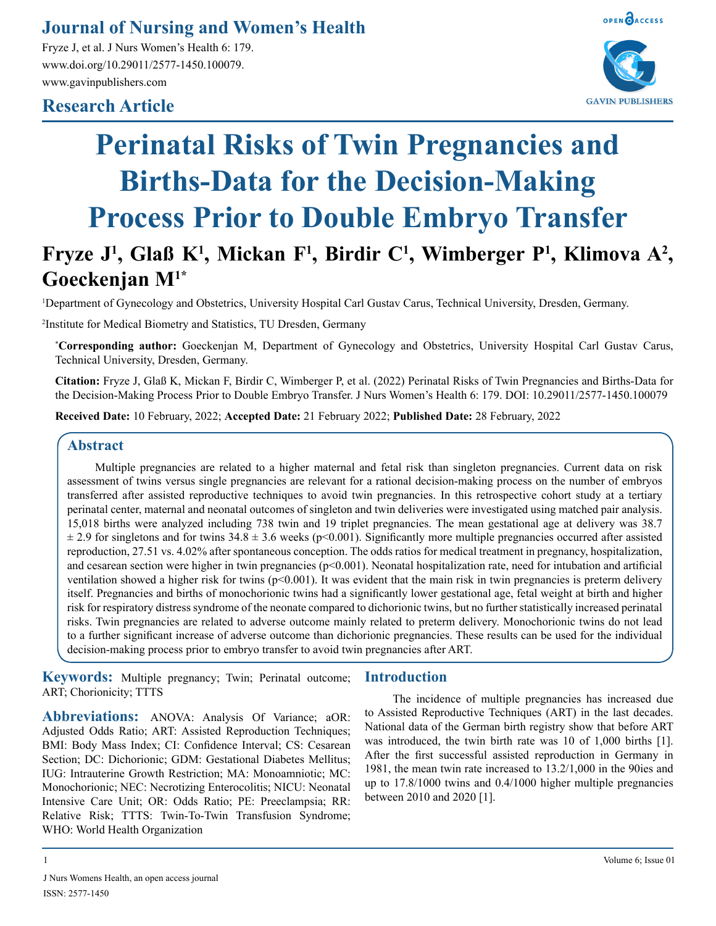## **Journal of Nursing and Women's Health**

Fryze J, et al. J Nurs Women's Health 6: 179. www.doi.org/10.29011/2577-1450.100079. www.gavinpublishers.com

### **Research Article**



# **Perinatal Risks of Twin Pregnancies and Births-Data for the Decision-Making Process Prior to Double Embryo Transfer**

## Fryze J<sup>1</sup>, Glaß K<sup>1</sup>, Mickan F<sup>1</sup>, Birdir C<sup>1</sup>, Wimberger P<sup>1</sup>, Klimova A<sup>2</sup>, **Goeckenjan M1\***

1 Department of Gynecology and Obstetrics, University Hospital Carl Gustav Carus, Technical University, Dresden, Germany.

2 Institute for Medical Biometry and Statistics, TU Dresden, Germany

**\* Corresponding author:** Goeckenjan M, Department of Gynecology and Obstetrics, University Hospital Carl Gustav Carus, Technical University, Dresden, Germany.

**Citation:** Fryze J, Glaß K, Mickan F, Birdir C, Wimberger P, et al. (2022) Perinatal Risks of Twin Pregnancies and Births-Data for the Decision-Making Process Prior to Double Embryo Transfer. J Nurs Women's Health 6: 179. DOI: 10.29011/2577-1450.100079

**Received Date:** 10 February, 2022; **Accepted Date:** 21 February 2022; **Published Date:** 28 February, 2022

#### **Abstract**

Multiple pregnancies are related to a higher maternal and fetal risk than singleton pregnancies. Current data on risk assessment of twins versus single pregnancies are relevant for a rational decision-making process on the number of embryos transferred after assisted reproductive techniques to avoid twin pregnancies. In this retrospective cohort study at a tertiary perinatal center, maternal and neonatal outcomes of singleton and twin deliveries were investigated using matched pair analysis. 15,018 births were analyzed including 738 twin and 19 triplet pregnancies. The mean gestational age at delivery was 38.7  $\pm$  2.9 for singletons and for twins 34.8  $\pm$  3.6 weeks (p<0.001). Significantly more multiple pregnancies occurred after assisted reproduction, 27.51 vs. 4.02% after spontaneous conception. The odds ratios for medical treatment in pregnancy, hospitalization, and cesarean section were higher in twin pregnancies (p<0.001). Neonatal hospitalization rate, need for intubation and artificial ventilation showed a higher risk for twins ( $p<0.001$ ). It was evident that the main risk in twin pregnancies is preterm delivery itself. Pregnancies and births of monochorionic twins had a significantly lower gestational age, fetal weight at birth and higher risk for respiratory distress syndrome of the neonate compared to dichorionic twins, but no further statistically increased perinatal risks. Twin pregnancies are related to adverse outcome mainly related to preterm delivery. Monochorionic twins do not lead to a further significant increase of adverse outcome than dichorionic pregnancies. These results can be used for the individual decision-making process prior to embryo transfer to avoid twin pregnancies after ART.

**Keywords:** Multiple pregnancy; Twin; Perinatal outcome; ART; Chorionicity; TTTS

**Abbreviations:** ANOVA: Analysis Of Variance; aOR: Adjusted Odds Ratio; ART: Assisted Reproduction Techniques; BMI: Body Mass Index; CI: Confidence Interval; CS: Cesarean Section; DC: Dichorionic; GDM: Gestational Diabetes Mellitus; IUG: Intrauterine Growth Restriction; MA: Monoamniotic; MC: Monochorionic; NEC: Necrotizing Enterocolitis; NICU: Neonatal Intensive Care Unit; OR: Odds Ratio; PE: Preeclampsia; RR: Relative Risk; TTTS: Twin-To-Twin Transfusion Syndrome; WHO: World Health Organization

#### **Introduction**

The incidence of multiple pregnancies has increased due to Assisted Reproductive Techniques (ART) in the last decades. National data of the German birth registry show that before ART was introduced, the twin birth rate was 10 of 1,000 births [1]. After the first successful assisted reproduction in Germany in 1981, the mean twin rate increased to 13.2/1,000 in the 90ies and up to 17.8/1000 twins and 0.4/1000 higher multiple pregnancies between 2010 and 2020 [1].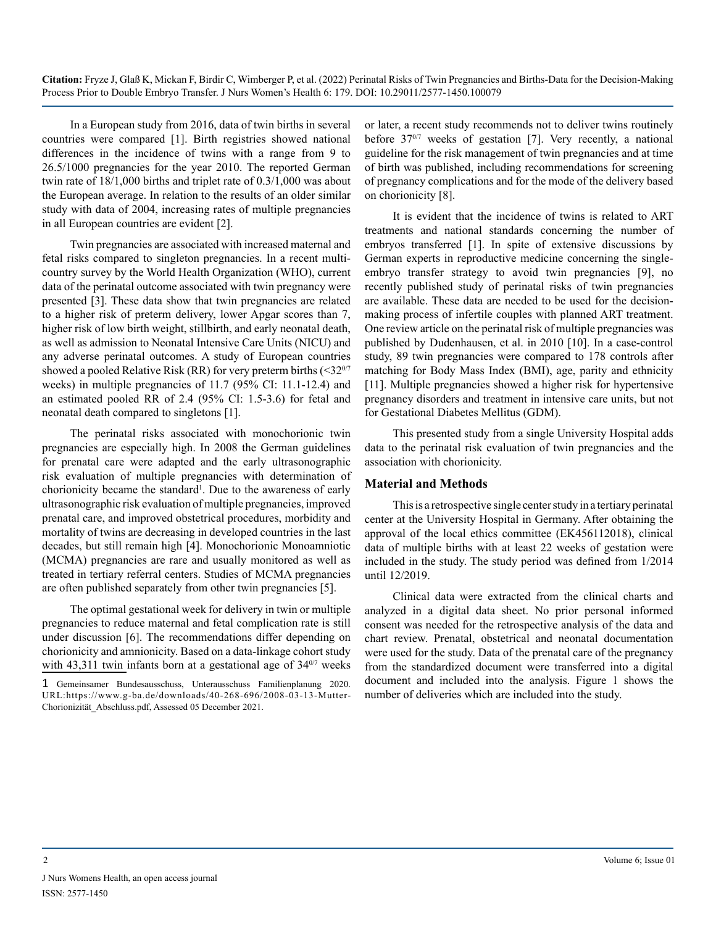In a European study from 2016, data of twin births in several countries were compared [1]. Birth registries showed national differences in the incidence of twins with a range from 9 to 26.5/1000 pregnancies for the year 2010. The reported German twin rate of 18/1,000 births and triplet rate of 0.3/1,000 was about the European average. In relation to the results of an older similar study with data of 2004, increasing rates of multiple pregnancies in all European countries are evident [2].

Twin pregnancies are associated with increased maternal and fetal risks compared to singleton pregnancies. In a recent multicountry survey by the World Health Organization (WHO), current data of the perinatal outcome associated with twin pregnancy were presented [3]. These data show that twin pregnancies are related to a higher risk of preterm delivery, lower Apgar scores than 7, higher risk of low birth weight, stillbirth, and early neonatal death, as well as admission to Neonatal Intensive Care Units (NICU) and any adverse perinatal outcomes. A study of European countries showed a pooled Relative Risk (RR) for very preterm births  $\left( \langle 32^{0/7} \right]$ weeks) in multiple pregnancies of 11.7 (95% CI: 11.1-12.4) and an estimated pooled RR of 2.4 (95% CI: 1.5-3.6) for fetal and neonatal death compared to singletons [1].

The perinatal risks associated with monochorionic twin pregnancies are especially high. In 2008 the German guidelines for prenatal care were adapted and the early ultrasonographic risk evaluation of multiple pregnancies with determination of chorionicity became the standard<sup>1</sup>. Due to the awareness of early ultrasonographic risk evaluation of multiple pregnancies, improved prenatal care, and improved obstetrical procedures, morbidity and mortality of twins are decreasing in developed countries in the last decades, but still remain high [4]. Monochorionic Monoamniotic (MCMA) pregnancies are rare and usually monitored as well as treated in tertiary referral centers. Studies of MCMA pregnancies are often published separately from other twin pregnancies [5].

The optimal gestational week for delivery in twin or multiple pregnancies to reduce maternal and fetal complication rate is still under discussion [6]. The recommendations differ depending on chorionicity and amnionicity. Based on a data-linkage cohort study with 43,311 twin infants born at a gestational age of  $34<sup>0/7</sup>$  weeks or later, a recent study recommends not to deliver twins routinely before 37<sup>0/7</sup> weeks of gestation [7]. Very recently, a national guideline for the risk management of twin pregnancies and at time of birth was published, including recommendations for screening of pregnancy complications and for the mode of the delivery based on chorionicity [8].

It is evident that the incidence of twins is related to ART treatments and national standards concerning the number of embryos transferred [1]. In spite of extensive discussions by German experts in reproductive medicine concerning the singleembryo transfer strategy to avoid twin pregnancies [9], no recently published study of perinatal risks of twin pregnancies are available. These data are needed to be used for the decisionmaking process of infertile couples with planned ART treatment. One review article on the perinatal risk of multiple pregnancies was published by Dudenhausen, et al. in 2010 [10]. In a case-control study, 89 twin pregnancies were compared to 178 controls after matching for Body Mass Index (BMI), age, parity and ethnicity [11]. Multiple pregnancies showed a higher risk for hypertensive pregnancy disorders and treatment in intensive care units, but not for Gestational Diabetes Mellitus (GDM).

This presented study from a single University Hospital adds data to the perinatal risk evaluation of twin pregnancies and the association with chorionicity.

#### **Material and Methods**

This is a retrospective single center study in a tertiary perinatal center at the University Hospital in Germany. After obtaining the approval of the local ethics committee (EK456112018), clinical data of multiple births with at least 22 weeks of gestation were included in the study. The study period was defined from 1/2014 until 12/2019.

Clinical data were extracted from the clinical charts and analyzed in a digital data sheet. No prior personal informed consent was needed for the retrospective analysis of the data and chart review. Prenatal, obstetrical and neonatal documentation were used for the study. Data of the prenatal care of the pregnancy from the standardized document were transferred into a digital document and included into the analysis. Figure 1 shows the number of deliveries which are included into the study.

<sup>1</sup> Gemeinsamer Bundesausschuss, Unterausschuss Familienplanung 2020. URL:[https://www.g-ba.de/downloads/40-268-696/2008-03-13-Mutter-](https://www.g-ba.de/downloads/40-268-696/2008-03-13-Mutter-Chorionizit�t_Abschluss.pdf)[Chorionizität\\_Abschluss.pdf,](https://www.g-ba.de/downloads/40-268-696/2008-03-13-Mutter-Chorionizit�t_Abschluss.pdf) Assessed 05 December 2021.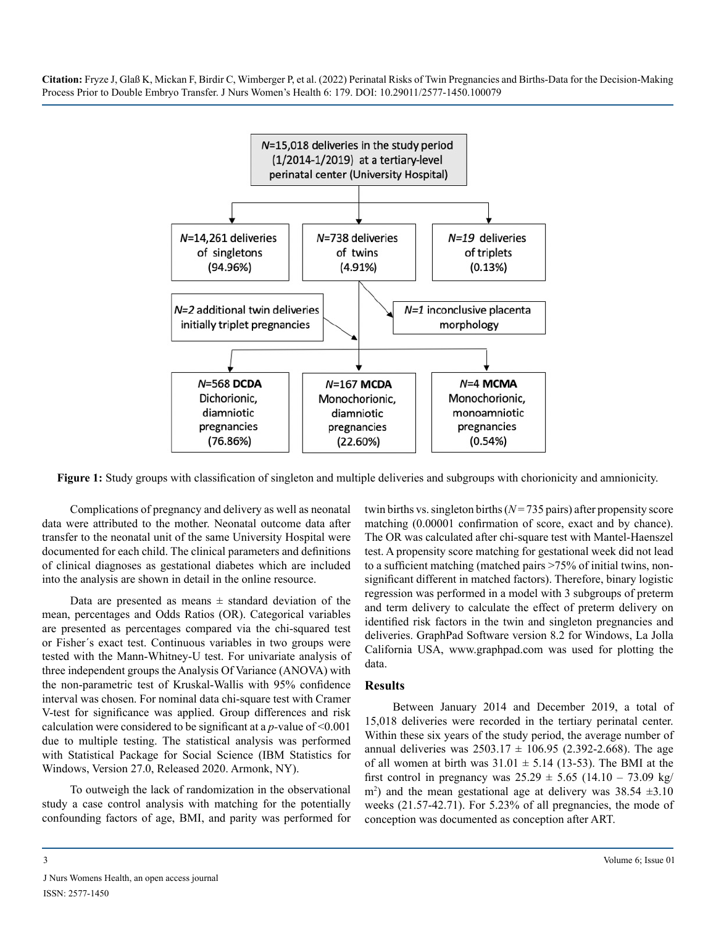

**Figure 1:** Study groups with classification of singleton and multiple deliveries and subgroups with chorionicity and amnionicity.

Complications of pregnancy and delivery as well as neonatal data were attributed to the mother. Neonatal outcome data after transfer to the neonatal unit of the same University Hospital were documented for each child. The clinical parameters and definitions of clinical diagnoses as gestational diabetes which are included into the analysis are shown in detail in the online resource.

Data are presented as means  $\pm$  standard deviation of the mean, percentages and Odds Ratios (OR). Categorical variables are presented as percentages compared via the chi-squared test or Fisher´s exact test. Continuous variables in two groups were tested with the Mann-Whitney-U test. For univariate analysis of three independent groups the Analysis Of Variance (ANOVA) with the non-parametric test of Kruskal-Wallis with 95% confidence interval was chosen. For nominal data chi-square test with Cramer V-test for significance was applied. Group differences and risk calculation were considered to be significant at a *p-*value of <0.001 due to multiple testing. The statistical analysis was performed with Statistical Package for Social Science (IBM Statistics for Windows, Version 27.0, Released 2020. Armonk, NY).

To outweigh the lack of randomization in the observational study a case control analysis with matching for the potentially confounding factors of age, BMI, and parity was performed for twin births vs. singleton births (*N*= 735 pairs) after propensity score matching (0.00001 confirmation of score, exact and by chance). The OR was calculated after chi-square test with Mantel-Haenszel test. A propensity score matching for gestational week did not lead to a sufficient matching (matched pairs >75% of initial twins, nonsignificant different in matched factors). Therefore, binary logistic regression was performed in a model with 3 subgroups of preterm and term delivery to calculate the effect of preterm delivery on identified risk factors in the twin and singleton pregnancies and deliveries. GraphPad Software version 8.2 for Windows, La Jolla California USA, [www.graphpad.com](http://www.graphpad.com) was used for plotting the data.

#### **Results**

Between January 2014 and December 2019, a total of 15,018 deliveries were recorded in the tertiary perinatal center. Within these six years of the study period, the average number of annual deliveries was  $2503.17 \pm 106.95$  (2.392-2.668). The age of all women at birth was  $31.01 \pm 5.14$  (13-53). The BMI at the first control in pregnancy was  $25.29 \pm 5.65$  (14.10 – 73.09 kg/ m<sup>2</sup>) and the mean gestational age at delivery was  $38.54 \pm 3.10$ weeks (21.57-42.71). For 5.23% of all pregnancies, the mode of conception was documented as conception after ART.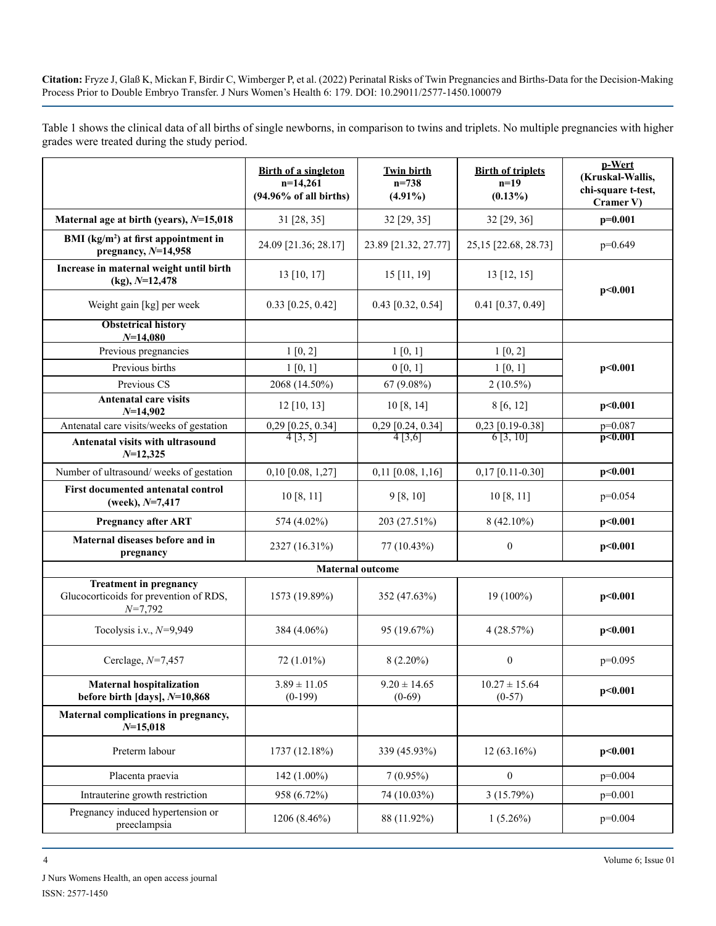Table 1 shows the clinical data of all births of single newborns, in comparison to twins and triplets. No multiple pregnancies with higher grades were treated during the study period.

|                                                                                      | <b>Birth of a singleton</b><br>$n=14,261$<br>$(94.96\% \text{ of all births})$ | <b>Twin birth</b><br>$n = 738$<br>$(4.91\%)$ | <b>Birth of triplets</b><br>$n=19$<br>$(0.13\%)$ | p-Wert<br>(Kruskal-Wallis,<br>chi-square t-test,<br>Cramer V) |
|--------------------------------------------------------------------------------------|--------------------------------------------------------------------------------|----------------------------------------------|--------------------------------------------------|---------------------------------------------------------------|
| Maternal age at birth (years), $N=15,018$                                            | 31 [28, 35]                                                                    | 32 [29, 35]                                  | 32 [29, 36]                                      | $p=0.001$                                                     |
| BMI $(kg/m2)$ at first appointment in<br>pregnancy, $N=14,958$                       | 24.09 [21.36; 28.17]                                                           | 23.89 [21.32, 27.77]                         | 25,15 [22.68, 28.73]                             | $p=0.649$                                                     |
| Increase in maternal weight until birth<br>$(kg)$ , $N=12,478$                       | 13 [10, 17]                                                                    | $15$ [11, 19]                                | $13$ [12, 15]                                    | p<0.001                                                       |
| Weight gain [kg] per week                                                            | $0.33$ [0.25, 0.42]                                                            | $0.43$ [0.32, 0.54]                          | $0.41$ [0.37, 0.49]                              |                                                               |
| <b>Obstetrical history</b><br>$N=14,080$                                             |                                                                                |                                              |                                                  |                                                               |
| Previous pregnancies                                                                 | 1[0, 2]                                                                        | 1 [0, 1]                                     | 1 [0, 2]                                         |                                                               |
| Previous births                                                                      | 1 [0, 1]                                                                       | 0 [0, 1]                                     | 1 [0, 1]                                         | p<0.001                                                       |
| Previous CS                                                                          | 2068 (14.50%)                                                                  | $67(9.08\%)$                                 | $2(10.5\%)$                                      |                                                               |
| Antenatal care visits<br>$N=14,902$                                                  | $12$ [10, 13]                                                                  | 10[8, 14]                                    | 8[6, 12]                                         | p<0.001                                                       |
| Antenatal care visits/weeks of gestation                                             | $\frac{0,29 [0.25, 0.34]}{4 [3, 5]}$                                           | $\frac{0,29 [0.24, 0.34]}{4 [3,6]}$          | $\frac{0,23}{6}$ [0.19-0.38]                     | $p=0.087$                                                     |
| Antenatal visits with ultrasound<br>$N=12,325$                                       |                                                                                |                                              |                                                  | p<0.001                                                       |
| Number of ultrasound/weeks of gestation                                              | $0,10$ [0.08, 1,27]                                                            | $0,11$ [0.08, 1,16]                          | $0,17$ [0.11-0.30]                               | p<0.001                                                       |
| First documented antenatal control<br>(week), $N=7,417$                              | 10[8, 11]                                                                      | 9 [8, 10]                                    | 10[8, 11]                                        | $p=0.054$                                                     |
| <b>Pregnancy after ART</b>                                                           | 574 (4.02%)                                                                    | 203 (27.51%)                                 | $8(42.10\%)$                                     | p<0.001                                                       |
| Maternal diseases before and in<br>pregnancy                                         | 2327 (16.31%)                                                                  | 77 (10.43%)                                  | $\boldsymbol{0}$                                 | p<0.001                                                       |
| <b>Maternal outcome</b>                                                              |                                                                                |                                              |                                                  |                                                               |
| <b>Treatment in pregnancy</b><br>Glucocorticoids for prevention of RDS,<br>$N=7,792$ | 1573 (19.89%)                                                                  | 352 (47.63%)                                 | $19(100\%)$                                      | p<0.001                                                       |
| Tocolysis i.v., $N=9,949$                                                            | 384 (4.06%)                                                                    | 95 (19.67%)                                  | 4(28.57%)                                        | p<0.001                                                       |
| Cerclage, $N=7,457$                                                                  | 72 (1.01%)                                                                     | $8(2.20\%)$                                  | $\boldsymbol{0}$                                 | $p=0.095$                                                     |
| <b>Maternal hospitalization</b><br>before birth [days], $N=10,868$                   | $3.89 \pm 11.05$<br>$(0-199)$                                                  | $9.20 \pm 14.65$<br>$(0-69)$                 | $10.27 \pm 15.64$<br>$(0-57)$                    | p<0.001                                                       |
| Maternal complications in pregnancy,<br>$N=15,018$                                   |                                                                                |                                              |                                                  |                                                               |
| Preterm labour                                                                       | 1737 (12.18%)                                                                  | 339 (45.93%)                                 | $12(63.16\%)$                                    | p<0.001                                                       |
| Placenta praevia                                                                     | $142(1.00\%)$                                                                  | $7(0.95\%)$                                  | $\boldsymbol{0}$                                 | $p=0.004$                                                     |
| Intrauterine growth restriction                                                      | 958 (6.72%)                                                                    | 74 (10.03%)                                  | 3(15.79%)                                        | $p=0.001$                                                     |
| Pregnancy induced hypertension or<br>preeclampsia                                    | 1206 (8.46%)                                                                   | 88 (11.92%)                                  | $1(5.26\%)$                                      | $p=0.004$                                                     |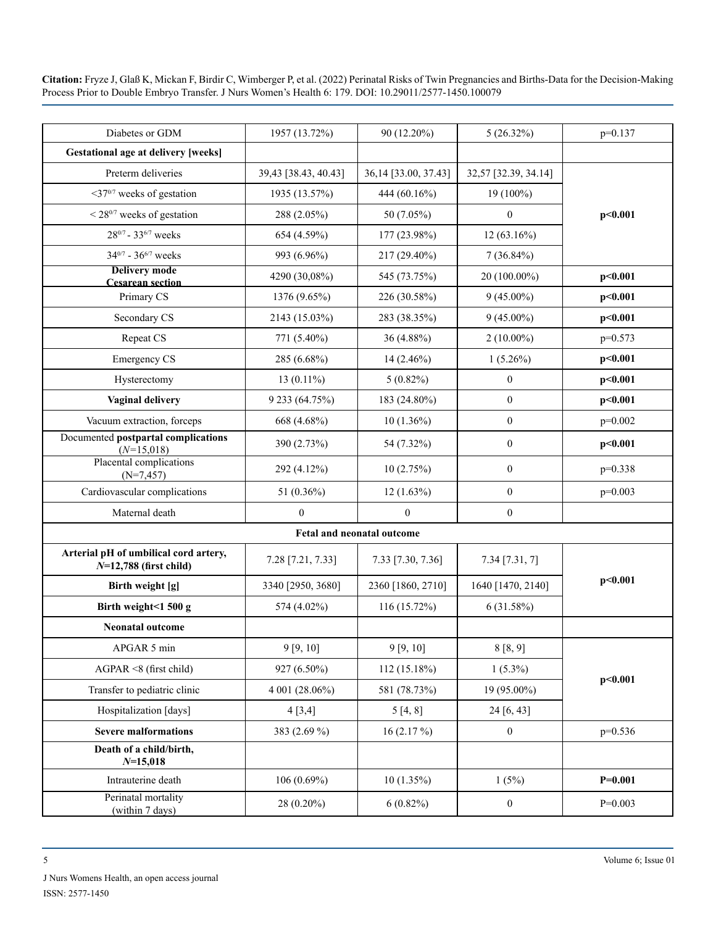| Diabetes or GDM                                                   | 1957 (13.72%)        | 90 (12.20%)          | $5(26.32\%)$         | $p=0.137$ |  |
|-------------------------------------------------------------------|----------------------|----------------------|----------------------|-----------|--|
| <b>Gestational age at delivery [weeks]</b>                        |                      |                      |                      |           |  |
| Preterm deliveries                                                | 39,43 [38.43, 40.43] | 36,14 [33.00, 37.43] | 32,57 [32.39, 34.14] |           |  |
| <37 <sup>0/7</sup> weeks of gestation                             | 1935 (13.57%)        | 444 (60.16%)         | 19 (100%)            |           |  |
| $\leq$ 28 <sup>0/7</sup> weeks of gestation                       | 288 (2.05%)          | 50 (7.05%)           | $\boldsymbol{0}$     | p<0.001   |  |
| 280/7 - 336/7 weeks                                               | 654 (4.59%)          | 177 (23.98%)         | 12 (63.16%)          |           |  |
| $34^{0/7}$ - $36^{6/7}$ weeks                                     | 993 (6.96%)          | 217 (29.40%)         | $7(36.84\%)$         |           |  |
| <b>Delivery mode</b><br><b>Cesarean section</b>                   | 4290 (30,08%)        | 545 (73.75%)         | $20(100.00\%)$       | p<0.001   |  |
| Primary CS                                                        | 1376 (9.65%)         | 226 (30.58%)         | $9(45.00\%)$         | p<0.001   |  |
| Secondary CS                                                      | 2143 (15.03%)        | 283 (38.35%)         | $9(45.00\%)$         | p<0.001   |  |
| Repeat CS                                                         | 771 (5.40%)          | 36 (4.88%)           | $2(10.00\%)$         | $p=0.573$ |  |
| <b>Emergency CS</b>                                               | 285 (6.68%)          | $14(2.46\%)$         | $1(5.26\%)$          | p<0.001   |  |
| Hysterectomy                                                      | $13(0.11\%)$         | $5(0.82\%)$          | $\boldsymbol{0}$     | p<0.001   |  |
| <b>Vaginal delivery</b>                                           | 9 233 (64.75%)       | 183 (24.80%)         | $\boldsymbol{0}$     | p<0.001   |  |
| Vacuum extraction, forceps                                        | 668 (4.68%)          | $10(1.36\%)$         | $\boldsymbol{0}$     | $p=0.002$ |  |
| Documented postpartal complications<br>$(N=15,018)$               | 390 (2.73%)          | 54 (7.32%)           | $\boldsymbol{0}$     | p<0.001   |  |
| Placental complications<br>$(N=7, 457)$                           | 292 (4.12%)          | 10(2.75%)            | $\boldsymbol{0}$     | $p=0.338$ |  |
| Cardiovascular complications                                      | 51 (0.36%)           | $12(1.63\%)$         | $\boldsymbol{0}$     | $p=0.003$ |  |
| Maternal death                                                    | $\mathbf{0}$         | $\boldsymbol{0}$     | $\boldsymbol{0}$     |           |  |
| Fetal and neonatal outcome                                        |                      |                      |                      |           |  |
| Arterial pH of umbilical cord artery,<br>$N=12,788$ (first child) | 7.28 [7.21, 7.33]    | 7.33 [7.30, 7.36]    | $7.34$ [7.31, 7]     |           |  |
| Birth weight [g]                                                  | 3340 [2950, 3680]    | 2360 [1860, 2710]    | 1640 [1470, 2140]    | p<0.001   |  |
| Birth weight<1 500 g                                              | 574 (4.02%)          | 116 (15.72%)         | 6(31.58%)            |           |  |
| <b>Neonatal outcome</b>                                           |                      |                      |                      |           |  |
| APGAR 5 min                                                       | 9 [9, 10]            | 9 [9, 10]            | 8 [8, 9]             |           |  |
| $AGPAR \leq 8$ (first child)                                      | 927 (6.50%)          | 112 (15.18%)         | $1(5.3\%)$           | p<0.001   |  |
| Transfer to pediatric clinic                                      | 4 001 (28.06%)       | 581 (78.73%)         | 19 (95.00%)          |           |  |
| Hospitalization [days]                                            | 4 [3, 4]             | 5[4, 8]              | 24 [6, 43]           |           |  |
| <b>Severe malformations</b>                                       | 383 (2.69 %)         | 16(2.17%)            | $\boldsymbol{0}$     | $p=0.536$ |  |
| Death of a child/birth,<br>$N=15,018$                             |                      |                      |                      |           |  |
| Intrauterine death                                                | $106(0.69\%)$        | 10(1.35%)            | 1(5%)                | $P=0.001$ |  |
| Perinatal mortality<br>(within 7 days)                            | 28 (0.20%)           | $6(0.82\%)$          | $\boldsymbol{0}$     | $P=0.003$ |  |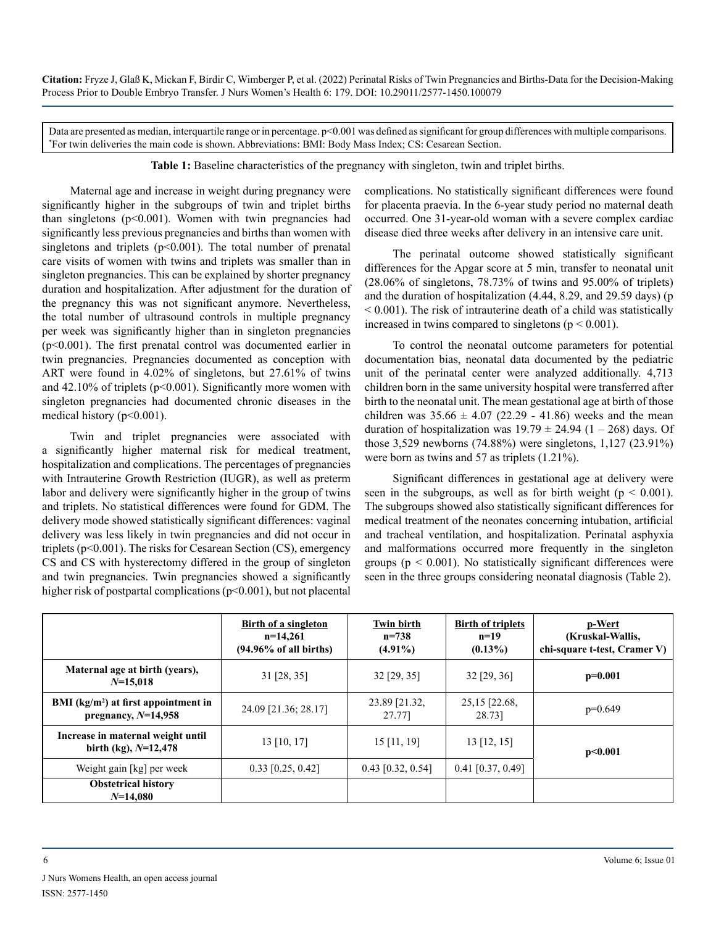Data are presented as median, interquartile range or in percentage. p<0.001 was defined as significant for group differences with multiple comparisons. \* For twin deliveries the main code is shown. Abbreviations: BMI: Body Mass Index; CS: Cesarean Section.

**Table 1:** Baseline characteristics of the pregnancy with singleton, twin and triplet births.

Maternal age and increase in weight during pregnancy were significantly higher in the subgroups of twin and triplet births than singletons  $(p<0.001)$ . Women with twin pregnancies had significantly less previous pregnancies and births than women with singletons and triplets  $(p<0.001)$ . The total number of prenatal care visits of women with twins and triplets was smaller than in singleton pregnancies. This can be explained by shorter pregnancy duration and hospitalization. After adjustment for the duration of the pregnancy this was not significant anymore. Nevertheless, the total number of ultrasound controls in multiple pregnancy per week was significantly higher than in singleton pregnancies (p<0.001). The first prenatal control was documented earlier in twin pregnancies. Pregnancies documented as conception with ART were found in 4.02% of singletons, but 27.61% of twins and  $42.10\%$  of triplets ( $p<0.001$ ). Significantly more women with singleton pregnancies had documented chronic diseases in the medical history (p<0.001).

Twin and triplet pregnancies were associated with a significantly higher maternal risk for medical treatment, hospitalization and complications. The percentages of pregnancies with Intrauterine Growth Restriction (IUGR), as well as preterm labor and delivery were significantly higher in the group of twins and triplets. No statistical differences were found for GDM. The delivery mode showed statistically significant differences: vaginal delivery was less likely in twin pregnancies and did not occur in triplets ( $p<0.001$ ). The risks for Cesarean Section (CS), emergency CS and CS with hysterectomy differed in the group of singleton and twin pregnancies. Twin pregnancies showed a significantly higher risk of postpartal complications (p<0.001), but not placental

complications. No statistically significant differences were found for placenta praevia. In the 6-year study period no maternal death occurred. One 31-year-old woman with a severe complex cardiac disease died three weeks after delivery in an intensive care unit.

The perinatal outcome showed statistically significant differences for the Apgar score at 5 min, transfer to neonatal unit (28.06% of singletons, 78.73% of twins and 95.00% of triplets) and the duration of hospitalization (4.44, 8.29, and 29.59 days) (p < 0.001). The risk of intrauterine death of a child was statistically increased in twins compared to singletons ( $p < 0.001$ ).

To control the neonatal outcome parameters for potential documentation bias, neonatal data documented by the pediatric unit of the perinatal center were analyzed additionally. 4,713 children born in the same university hospital were transferred after birth to the neonatal unit. The mean gestational age at birth of those children was  $35.66 \pm 4.07$  (22.29 - 41.86) weeks and the mean duration of hospitalization was  $19.79 \pm 24.94$  (1 – 268) days. Of those 3,529 newborns (74.88%) were singletons, 1,127 (23.91%) were born as twins and 57 as triplets (1.21%).

Significant differences in gestational age at delivery were seen in the subgroups, as well as for birth weight ( $p < 0.001$ ). The subgroups showed also statistically significant differences for medical treatment of the neonates concerning intubation, artificial and tracheal ventilation, and hospitalization. Perinatal asphyxia and malformations occurred more frequently in the singleton groups ( $p < 0.001$ ). No statistically significant differences were seen in the three groups considering neonatal diagnosis (Table 2).

|                                                                | Birth of a singleton<br>$n=14,261$<br>$(94.96\% \text{ of all births})$ | <b>Twin birth</b><br>$n = 738$<br>$(4.91\%)$ | <b>Birth of triplets</b><br>$n=19$<br>$(0.13\%)$ | p-Wert<br>(Kruskal-Wallis,<br>chi-square t-test, Cramer V) |
|----------------------------------------------------------------|-------------------------------------------------------------------------|----------------------------------------------|--------------------------------------------------|------------------------------------------------------------|
| Maternal age at birth (years),<br>$N=15,018$                   | $31$ [28, 35]                                                           | $32$ [29, 35]                                | $32$ [29, 36]                                    | $p=0.001$                                                  |
| BMI $(kg/m2)$ at first appointment in<br>pregnancy, $N=14,958$ | 24.09 [21.36; 28.17]                                                    | 23.89 [21.32,<br>27.77]                      | 25, 15 [22.68,<br>28.731                         | $p=0.649$                                                  |
| Increase in maternal weight until<br>birth (kg), $N=12,478$    | $13$ [10, 17]                                                           | $15$ [11, 19]                                | $13$ [12, 15]                                    | p<0.001                                                    |
| Weight gain [kg] per week                                      | $0.33$ [0.25, 0.42]                                                     | $0.43$ [0.32, 0.54]                          | $0.41$ [0.37, 0.49]                              |                                                            |
| <b>Obstetrical history</b><br>$N=14.080$                       |                                                                         |                                              |                                                  |                                                            |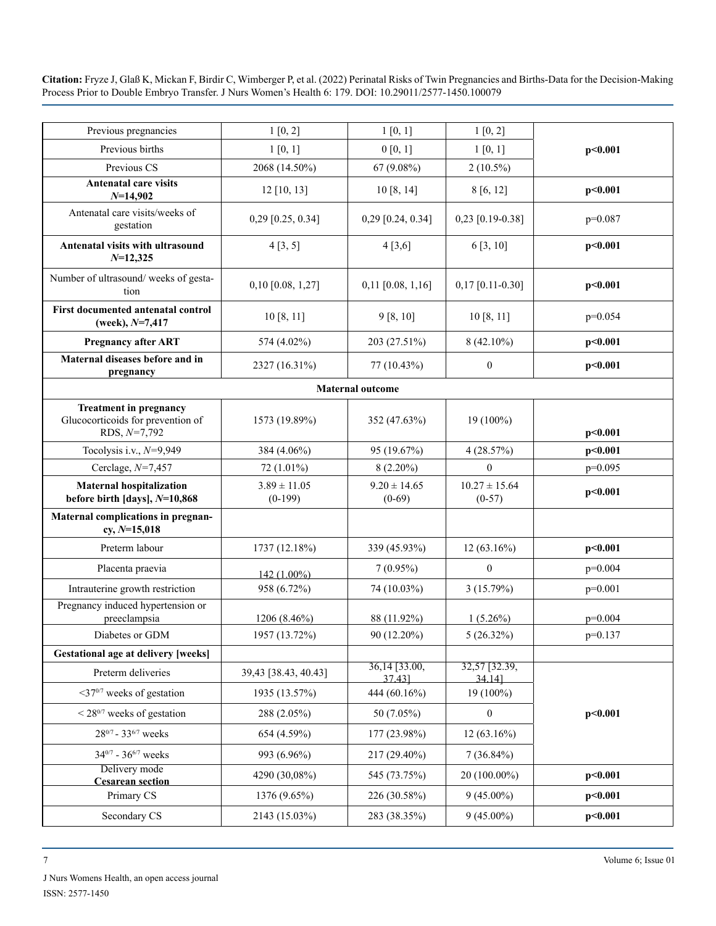| Previous pregnancies                                                                 | 1[0, 2]                       | 1[0, 1]                                 | 1[0, 2]                       |           |
|--------------------------------------------------------------------------------------|-------------------------------|-----------------------------------------|-------------------------------|-----------|
| Previous births                                                                      | 1[0, 1]                       | 0 [0, 1]                                | 1[0, 1]                       | p<0.001   |
| Previous CS                                                                          | 2068 (14.50%)                 | 67 (9.08%)                              | $2(10.5\%)$                   |           |
| <b>Antenatal care visits</b><br>$N=14,902$                                           | $12$ [10, 13]                 | 10[8, 14]                               | 8[6, 12]                      | p<0.001   |
| Antenatal care visits/weeks of<br>gestation                                          | $0,29$ [0.25, 0.34]           | 0,29 [0.24, 0.34]                       | $0,23$ [0.19-0.38]            | $p=0.087$ |
| Antenatal visits with ultrasound<br>$N=12,325$                                       | 4[3, 5]                       | 4[3,6]                                  | 6[3, 10]                      | p<0.001   |
| Number of ultrasound/weeks of gesta-<br>tion                                         | $0,10$ [0.08, 1,27]           | $0,11$ [0.08, 1,16]                     | $0,17$ [0.11-0.30]            | p<0.001   |
| First documented antenatal control<br>(week), $N=7,417$                              | 10 [8, 11]                    | 9 [8, 10]                               | 10 [8, 11]                    | $p=0.054$ |
| <b>Pregnancy after ART</b>                                                           | 574 (4.02%)                   | 203 (27.51%)                            | $8(42.10\%)$                  | p<0.001   |
| Maternal diseases before and in<br>pregnancy                                         | 2327 (16.31%)                 | 77 (10.43%)                             | $\boldsymbol{0}$              | p<0.001   |
|                                                                                      |                               | <b>Maternal outcome</b>                 |                               |           |
| <b>Treatment in pregnancy</b><br>Glucocorticoids for prevention of<br>RDS, $N=7,792$ | 1573 (19.89%)                 | 352 (47.63%)                            | 19 (100%)                     | p<0.001   |
| Tocolysis i.v., $N=9,949$                                                            | 384 (4.06%)                   | 95 (19.67%)                             | 4(28.57%)                     | p<0.001   |
| Cerclage, $N=7,457$                                                                  | 72 (1.01%)                    | $8(2.20\%)$                             | $\mathbf{0}$                  | $p=0.095$ |
| <b>Maternal hospitalization</b><br>before birth [days], $N=10,868$                   | $3.89 \pm 11.05$<br>$(0-199)$ | $9.20 \pm 14.65$<br>$(0-69)$            | $10.27 \pm 15.64$<br>$(0-57)$ | p<0.001   |
| Maternal complications in pregnan-<br>$cy, N=15,018$                                 |                               |                                         |                               |           |
| Preterm labour                                                                       | 1737 (12.18%)                 | 339 (45.93%)                            | $12(63.16\%)$                 | p<0.001   |
| Placenta praevia                                                                     | 142 (1.00%)                   | $7(0.95\%)$                             | $\overline{0}$                | $p=0.004$ |
| Intrauterine growth restriction                                                      | 958 (6.72%)                   | 74 (10.03%)                             | 3(15.79%)                     | $p=0.001$ |
| Pregnancy induced hypertension or<br>preeclampsia                                    | 1206 (8.46%)                  | 88 (11.92%)                             | $1(5.26\%)$                   | $p=0.004$ |
| Diabetes or GDM                                                                      | 1957 (13.72%)                 | 90 (12.20%)                             | $5(26.32\%)$                  | $p=0.137$ |
| <b>Gestational age at delivery [weeks]</b>                                           |                               |                                         |                               |           |
| Preterm deliveries                                                                   | 39,43 [38.43, 40.43]          | $36,14$ $\overline{)33.00}$ ,<br>37.43] | 32,57 [32.39,<br>34.14]       |           |
| $\leq 37^{0/7}$ weeks of gestation                                                   | 1935 (13.57%)                 | 444 (60.16%)                            | 19 (100%)                     | p<0.001   |
| $\leq$ 28 <sup>0/7</sup> weeks of gestation                                          | 288 (2.05%)                   | 50 (7.05%)                              | $\boldsymbol{0}$              |           |
| 280/7 - 336/7 weeks                                                                  | 654 (4.59%)                   | 177 (23.98%)                            | $12(63.16\%)$                 |           |
| $34^{0/7}$ - $36^{6/7}$ weeks                                                        | 993 (6.96%)                   | 217 (29.40%)                            | $7(36.84\%)$                  |           |
| Delivery mode<br><b>Cesarean section</b>                                             | 4290 (30,08%)                 | 545 (73.75%)                            | 20 (100.00%)                  | p<0.001   |
| Primary CS                                                                           | 1376 (9.65%)                  | 226 (30.58%)                            | $9(45.00\%)$                  | p<0.001   |
| Secondary CS                                                                         | 2143 (15.03%)                 | 283 (38.35%)                            | $9(45.00\%)$                  | p<0.001   |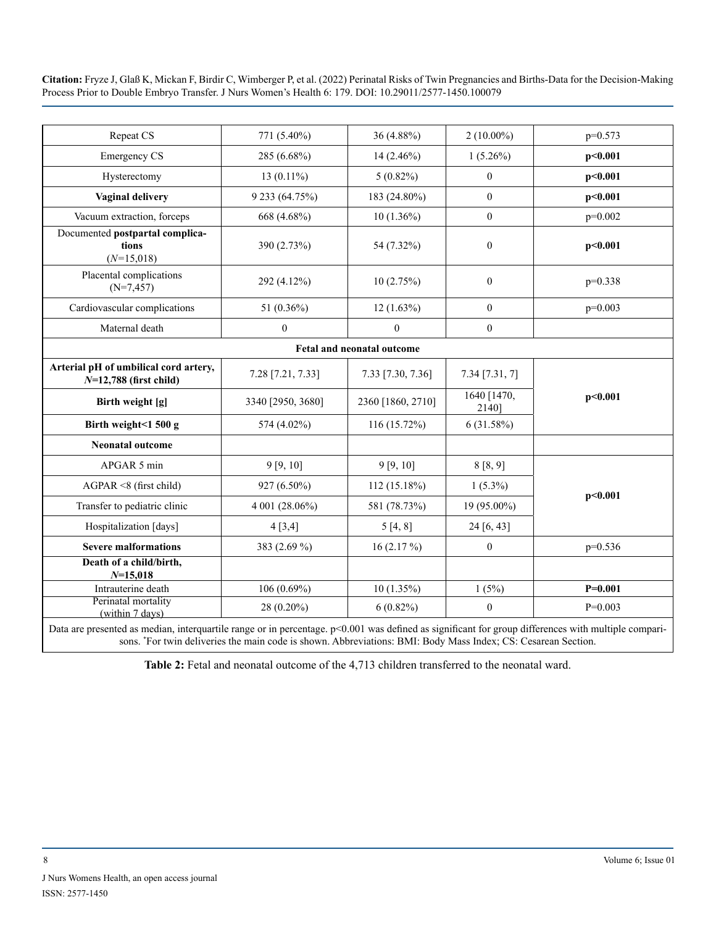| Repeat CS                                                                                           | 771 (5.40%)       | 36 (4.88%)                                                               | $2(10.00\%)$                                                       | $p=0.573$   |
|-----------------------------------------------------------------------------------------------------|-------------------|--------------------------------------------------------------------------|--------------------------------------------------------------------|-------------|
| <b>Emergency CS</b>                                                                                 | 285 (6.68%)       | $14(2.46\%)$                                                             | $1(5.26\%)$                                                        | p<0.001     |
| Hysterectomy                                                                                        | $13(0.11\%)$      | $5(0.82\%)$                                                              | $\boldsymbol{0}$                                                   | p<0.001     |
| <b>Vaginal delivery</b>                                                                             | 9 233 (64.75%)    | 183 (24.80%)                                                             | $\mathbf{0}$                                                       | p<0.001     |
| Vacuum extraction, forceps                                                                          | 668 (4.68%)       | $10(1.36\%)$                                                             | $\boldsymbol{0}$                                                   | $p=0.002$   |
| Documented postpartal complica-<br>tions<br>$(N=15,018)$                                            | 390 (2.73%)       | 54 (7.32%)                                                               | $\mathbf{0}$                                                       | p<0.001     |
| Placental complications<br>$(N=7, 457)$                                                             | 292 (4.12%)       | 10(2.75%)                                                                | $\overline{0}$                                                     | $p=0.338$   |
| Cardiovascular complications                                                                        | 51 (0.36%)        | $12(1.63\%)$                                                             | $\mathbf{0}$                                                       | $p=0.003$   |
| Maternal death                                                                                      | $\boldsymbol{0}$  | $\mathbf{0}$                                                             | $\overline{0}$                                                     |             |
| <b>Fetal and neonatal outcome</b>                                                                   |                   |                                                                          |                                                                    |             |
| Arterial pH of umbilical cord artery,<br>$N=12,788$ (first child)                                   | 7.28 [7.21, 7.33] | 7.33 [7.30, 7.36]                                                        | $7.34$ [7.31, 7]                                                   | p<0.001     |
| Birth weight [g]                                                                                    | 3340 [2950, 3680] | 2360 [1860, 2710]                                                        | 1640 [1470,<br>2140]                                               |             |
| Birth weight<1 500 g                                                                                | 574 (4.02%)       | 116 (15.72%)                                                             | 6(31.58%)                                                          |             |
| <b>Neonatal outcome</b>                                                                             |                   |                                                                          |                                                                    |             |
| APGAR 5 min                                                                                         | 9 [9, 10]         | 9 [9, 10]                                                                | 8[8, 9]                                                            | p<0.001     |
| $AGPAR \leq 8$ (first child)                                                                        | 927 (6.50%)       | $112(15.18\%)$                                                           | $1(5.3\%)$                                                         |             |
| Transfer to pediatric clinic                                                                        | 4 001 (28.06%)    | 581 (78.73%)                                                             | 19 (95.00%)                                                        |             |
| Hospitalization [days]                                                                              | 4[3,4]            | 5[4, 8]                                                                  | 24 [6, 43]                                                         |             |
| <b>Severe malformations</b>                                                                         | 383 (2.69 %)      | 16 $(2.17\%)$                                                            | $\boldsymbol{0}$                                                   | $p=0.536$   |
| Death of a child/birth,<br>$N=15,018$                                                               |                   |                                                                          |                                                                    |             |
| Intrauterine death                                                                                  | $106(0.69\%)$     | $10(1.35\%)$                                                             | 1(5%)                                                              | $P = 0.001$ |
| Perinatal mortality<br>(within 7 days)<br>ومحمد والاقتصاد ومستخفون المتحافظ والمواصل المتفقد والمرا | 28 (0.20%)        | $6(0.82\%)$<br>$n < 0.001$ and $A_0$ final as $s_{nm}$ ; from from every | $\mathbf{0}$<br>$1100$ and $1.41$ and $1.41$ and $1.41$ and $1.41$ | $P=0.003$   |

Data are presented as median, interquartile range or in percentage. p<0.001 was defined as significant for group differences with multiple comparisons. \* For twin deliveries the main code is shown. Abbreviations: BMI: Body Mass Index; CS: Cesarean Section.

**Table 2:** Fetal and neonatal outcome of the 4,713 children transferred to the neonatal ward.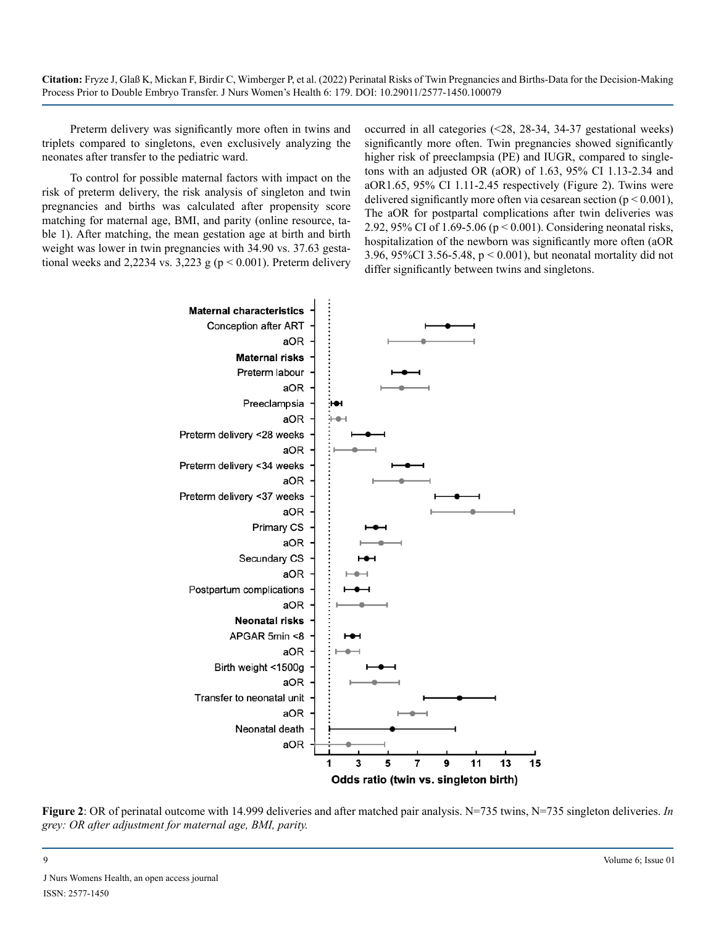Preterm delivery was significantly more often in twins and triplets compared to singletons, even exclusively analyzing the neonates after transfer to the pediatric ward.

To control for possible maternal factors with impact on the risk of preterm delivery, the risk analysis of singleton and twin pregnancies and births was calculated after propensity score matching for maternal age, BMI, and parity (online resource, table 1). After matching, the mean gestation age at birth and birth weight was lower in twin pregnancies with 34.90 vs. 37.63 gestational weeks and 2,2234 vs. 3,223 g ( $p < 0.001$ ). Preterm delivery

occurred in all categories (<28, 28-34, 34-37 gestational weeks) significantly more often. Twin pregnancies showed significantly higher risk of preeclampsia (PE) and IUGR, compared to singletons with an adjusted OR (aOR) of 1.63, 95% CI 1.13-2.34 and aOR1.65, 95% CI 1.11-2.45 respectively (Figure 2). Twins were delivered significantly more often via cesarean section ( $p < 0.001$ ), The aOR for postpartal complications after twin deliveries was 2.92, 95% CI of 1.69-5.06 (p < 0.001). Considering neonatal risks, hospitalization of the newborn was significantly more often (aOR 3.96, 95%CI 3.56-5.48, p < 0.001), but neonatal mortality did not differ significantly between twins and singletons.



**Figure 2**: OR of perinatal outcome with 14.999 deliveries and after matched pair analysis. N=735 twins, N=735 singleton deliveries. *In grey: OR after adjustment for maternal age, BMI, parity.*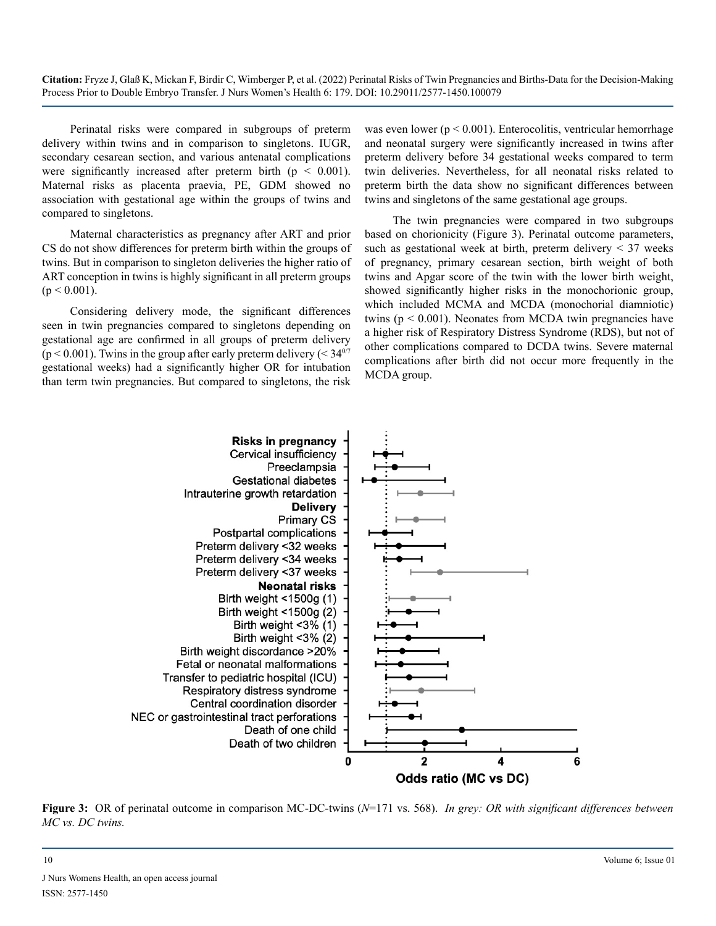Perinatal risks were compared in subgroups of preterm delivery within twins and in comparison to singletons. IUGR, secondary cesarean section, and various antenatal complications were significantly increased after preterm birth  $(p < 0.001)$ . Maternal risks as placenta praevia, PE, GDM showed no association with gestational age within the groups of twins and compared to singletons.

Maternal characteristics as pregnancy after ART and prior CS do not show differences for preterm birth within the groups of twins. But in comparison to singleton deliveries the higher ratio of ART conception in twins is highly significant in all preterm groups  $(p < 0.001)$ .

Considering delivery mode, the significant differences seen in twin pregnancies compared to singletons depending on gestational age are confirmed in all groups of preterm delivery ( $p < 0.001$ ). Twins in the group after early preterm delivery ( $< 34<sup>07</sup>$ ) gestational weeks) had a significantly higher OR for intubation than term twin pregnancies. But compared to singletons, the risk

was even lower ( $p < 0.001$ ). Enterocolitis, ventricular hemorrhage and neonatal surgery were significantly increased in twins after preterm delivery before 34 gestational weeks compared to term twin deliveries. Nevertheless, for all neonatal risks related to preterm birth the data show no significant differences between twins and singletons of the same gestational age groups.

The twin pregnancies were compared in two subgroups based on chorionicity (Figure 3). Perinatal outcome parameters, such as gestational week at birth, preterm delivery  $\leq$  37 weeks of pregnancy, primary cesarean section, birth weight of both twins and Apgar score of the twin with the lower birth weight, showed significantly higher risks in the monochorionic group, which included MCMA and MCDA (monochorial diamniotic) twins ( $p < 0.001$ ). Neonates from MCDA twin pregnancies have a higher risk of Respiratory Distress Syndrome (RDS), but not of other complications compared to DCDA twins. Severe maternal complications after birth did not occur more frequently in the MCDA group.



**Figure 3:** OR of perinatal outcome in comparison MC-DC-twins (*N*=171 vs. 568). *In grey: OR with significant differences between MC vs. DC twins.*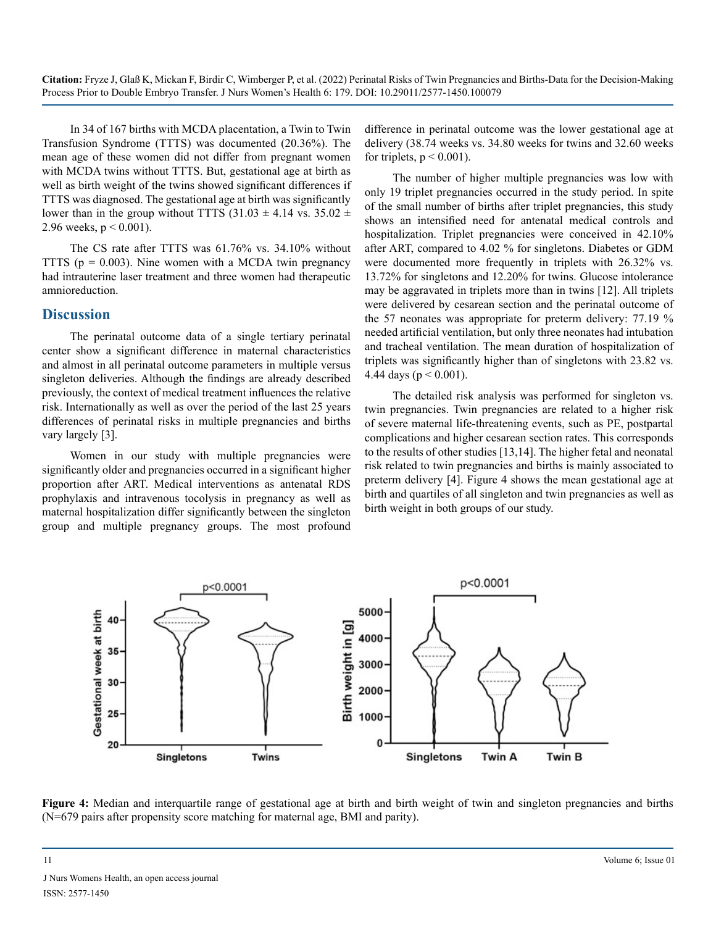In 34 of 167 births with MCDA placentation, a Twin to Twin Transfusion Syndrome (TTTS) was documented (20.36%). The mean age of these women did not differ from pregnant women with MCDA twins without TTTS. But, gestational age at birth as well as birth weight of the twins showed significant differences if TTTS was diagnosed. The gestational age at birth was significantly lower than in the group without TTTS  $(31.03 \pm 4.14 \text{ vs. } 35.02 \pm 1.14 \text{ vs. } 35.02 \pm 1.14 \text{ vs. } 35.02 \pm 1.14 \text{ vs. } 35.02 \pm 1.14 \text{ vs. } 35.02 \pm 1.14 \text{ vs. } 35.02 \pm 1.14 \text{ vs. } 35.02 \pm 1.14 \text{ vs. } 35.02 \pm 1.14 \text{ vs. } 35.02 \pm 1.1$ 2.96 weeks,  $p < 0.001$ ).

The CS rate after TTTS was 61.76% vs. 34.10% without TTTS ( $p = 0.003$ ). Nine women with a MCDA twin pregnancy had intrauterine laser treatment and three women had therapeutic amnioreduction.

#### **Discussion**

The perinatal outcome data of a single tertiary perinatal center show a significant difference in maternal characteristics and almost in all perinatal outcome parameters in multiple versus singleton deliveries. Although the findings are already described previously, the context of medical treatment influences the relative risk. Internationally as well as over the period of the last 25 years differences of perinatal risks in multiple pregnancies and births vary largely [3].

Women in our study with multiple pregnancies were significantly older and pregnancies occurred in a significant higher proportion after ART. Medical interventions as antenatal RDS prophylaxis and intravenous tocolysis in pregnancy as well as maternal hospitalization differ significantly between the singleton group and multiple pregnancy groups. The most profound difference in perinatal outcome was the lower gestational age at delivery (38.74 weeks vs. 34.80 weeks for twins and 32.60 weeks for triplets,  $p < 0.001$ ).

The number of higher multiple pregnancies was low with only 19 triplet pregnancies occurred in the study period. In spite of the small number of births after triplet pregnancies, this study shows an intensified need for antenatal medical controls and hospitalization. Triplet pregnancies were conceived in 42.10% after ART, compared to 4.02 % for singletons. Diabetes or GDM were documented more frequently in triplets with 26.32% vs. 13.72% for singletons and 12.20% for twins. Glucose intolerance may be aggravated in triplets more than in twins [12]. All triplets were delivered by cesarean section and the perinatal outcome of the 57 neonates was appropriate for preterm delivery: 77.19 % needed artificial ventilation, but only three neonates had intubation and tracheal ventilation. The mean duration of hospitalization of triplets was significantly higher than of singletons with 23.82 vs. 4.44 days ( $p < 0.001$ ).

The detailed risk analysis was performed for singleton vs. twin pregnancies. Twin pregnancies are related to a higher risk of severe maternal life-threatening events, such as PE, postpartal complications and higher cesarean section rates. This corresponds to the results of other studies [13,14]. The higher fetal and neonatal risk related to twin pregnancies and births is mainly associated to preterm delivery [4]. Figure 4 shows the mean gestational age at birth and quartiles of all singleton and twin pregnancies as well as birth weight in both groups of our study.



Figure 4: Median and interquartile range of gestational age at birth and birth weight of twin and singleton pregnancies and births (N=679 pairs after propensity score matching for maternal age, BMI and parity).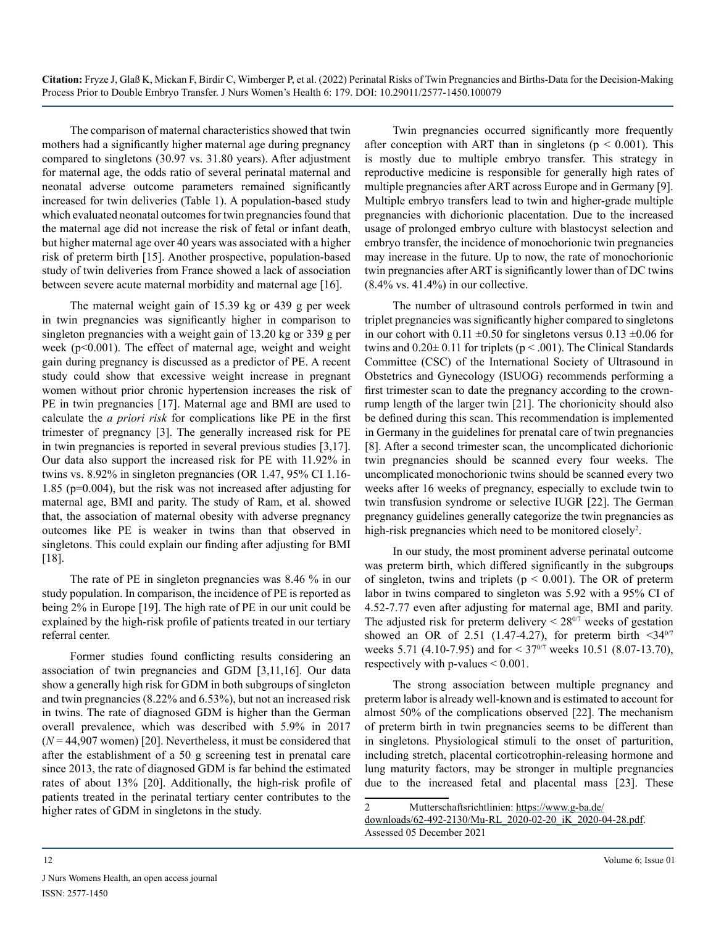The comparison of maternal characteristics showed that twin mothers had a significantly higher maternal age during pregnancy compared to singletons (30.97 vs. 31.80 years). After adjustment for maternal age, the odds ratio of several perinatal maternal and neonatal adverse outcome parameters remained significantly increased for twin deliveries (Table 1). A population-based study which evaluated neonatal outcomes for twin pregnancies found that the maternal age did not increase the risk of fetal or infant death, but higher maternal age over 40 years was associated with a higher risk of preterm birth [15]. Another prospective, population-based study of twin deliveries from France showed a lack of association between severe acute maternal morbidity and maternal age [16].

The maternal weight gain of 15.39 kg or 439 g per week in twin pregnancies was significantly higher in comparison to singleton pregnancies with a weight gain of 13.20 kg or 339 g per week (p<0.001). The effect of maternal age, weight and weight gain during pregnancy is discussed as a predictor of PE. A recent study could show that excessive weight increase in pregnant women without prior chronic hypertension increases the risk of PE in twin pregnancies [17]. Maternal age and BMI are used to calculate the *a priori risk* for complications like PE in the first trimester of pregnancy [3]. The generally increased risk for PE in twin pregnancies is reported in several previous studies [3,17]. Our data also support the increased risk for PE with 11.92% in twins vs. 8.92% in singleton pregnancies (OR 1.47, 95% CI 1.16- 1.85 (p=0.004), but the risk was not increased after adjusting for maternal age, BMI and parity. The study of Ram, et al. showed that, the association of maternal obesity with adverse pregnancy outcomes like PE is weaker in twins than that observed in singletons. This could explain our finding after adjusting for BMI [18].

The rate of PE in singleton pregnancies was 8.46 % in our study population. In comparison, the incidence of PE is reported as being 2% in Europe [19]. The high rate of PE in our unit could be explained by the high-risk profile of patients treated in our tertiary referral center.

Former studies found conflicting results considering an association of twin pregnancies and GDM [3,11,16]. Our data show a generally high risk for GDM in both subgroups of singleton and twin pregnancies (8.22% and 6.53%), but not an increased risk in twins. The rate of diagnosed GDM is higher than the German overall prevalence, which was described with 5.9% in 2017 (*N* = 44,907 women) [20]. Nevertheless, it must be considered that after the establishment of a 50 g screening test in prenatal care since 2013, the rate of diagnosed GDM is far behind the estimated rates of about 13% [20]. Additionally, the high-risk profile of patients treated in the perinatal tertiary center contributes to the higher rates of GDM in singletons in the study.

Twin pregnancies occurred significantly more frequently after conception with ART than in singletons ( $p < 0.001$ ). This is mostly due to multiple embryo transfer. This strategy in reproductive medicine is responsible for generally high rates of multiple pregnancies after ART across Europe and in Germany [9]. Multiple embryo transfers lead to twin and higher-grade multiple pregnancies with dichorionic placentation. Due to the increased usage of prolonged embryo culture with blastocyst selection and embryo transfer, the incidence of monochorionic twin pregnancies may increase in the future. Up to now, the rate of monochorionic twin pregnancies after ART is significantly lower than of DC twins  $(8.4\% \text{ vs. } 41.4\%)$  in our collective.

The number of ultrasound controls performed in twin and triplet pregnancies was significantly higher compared to singletons in our cohort with 0.11  $\pm$ 0.50 for singletons versus 0.13  $\pm$ 0.06 for twins and  $0.20 \pm 0.11$  for triplets ( $p < .001$ ). The Clinical Standards Committee (CSC) of the International Society of Ultrasound in Obstetrics and Gynecology (ISUOG) recommends performing a first trimester scan to date the pregnancy according to the crownrump length of the larger twin [21]. The chorionicity should also be defined during this scan. This recommendation is implemented in Germany in the guidelines for prenatal care of twin pregnancies [8]. After a second trimester scan, the uncomplicated dichorionic twin pregnancies should be scanned every four weeks. The uncomplicated monochorionic twins should be scanned every two weeks after 16 weeks of pregnancy, especially to exclude twin to twin transfusion syndrome or selective IUGR [22]. The German pregnancy guidelines generally categorize the twin pregnancies as high-risk pregnancies which need to be monitored closely<sup>2</sup>.

In our study, the most prominent adverse perinatal outcome was preterm birth, which differed significantly in the subgroups of singleton, twins and triplets ( $p < 0.001$ ). The OR of preterm labor in twins compared to singleton was 5.92 with a 95% CI of 4.52-7.77 even after adjusting for maternal age, BMI and parity. The adjusted risk for preterm delivery  $\leq 28^{0/7}$  weeks of gestation showed an OR of 2.51 (1.47-4.27), for preterm birth  $\leq 34^{0/7}$ weeks 5.71 (4.10-7.95) and for  $\leq 37^{0/7}$  weeks 10.51 (8.07-13.70), respectively with p-values  $\leq 0.001$ .

The strong association between multiple pregnancy and preterm labor is already well-known and is estimated to account for almost 50% of the complications observed [22]. The mechanism of preterm birth in twin pregnancies seems to be different than in singletons. Physiological stimuli to the onset of parturition, including stretch, placental corticotrophin-releasing hormone and lung maturity factors, may be stronger in multiple pregnancies due to the increased fetal and placental mass [23]. These

<sup>2</sup> Mutterschaftsrichtlinien: [https://www.g-ba.de/](https://www.g-ba.de/downloads/62-492-2130/Mu-RL_2020-02-20_iK_2020-04-28.pdf)

[downloads/62-492-2130/Mu-RL\\_2020-02-20\\_iK\\_2020-04-28.pdf](https://www.g-ba.de/downloads/62-492-2130/Mu-RL_2020-02-20_iK_2020-04-28.pdf). Assessed 05 December 2021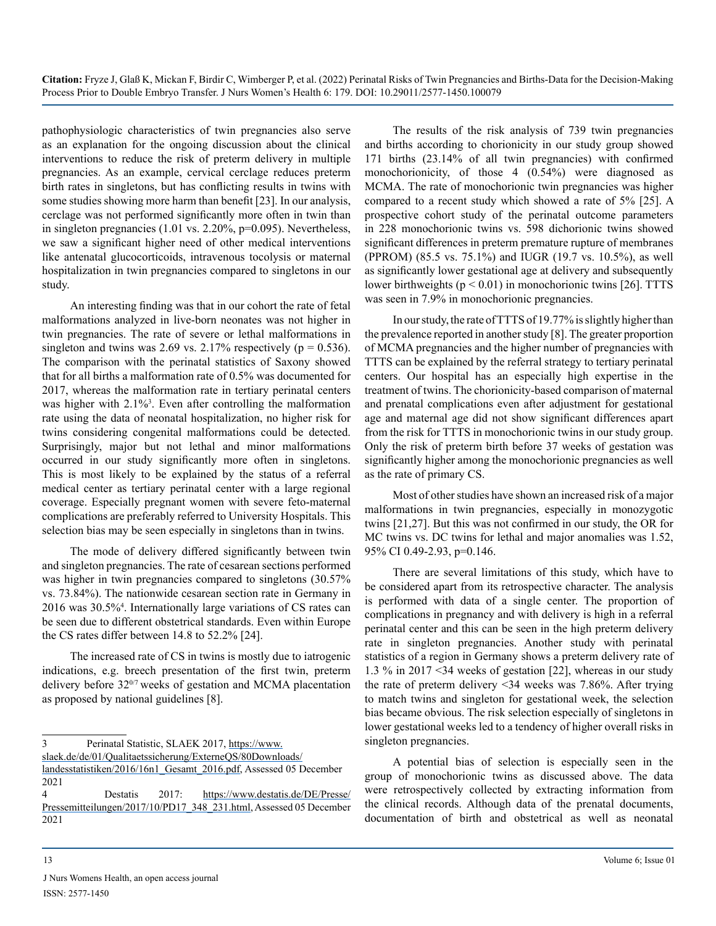pathophysiologic characteristics of twin pregnancies also serve as an explanation for the ongoing discussion about the clinical interventions to reduce the risk of preterm delivery in multiple pregnancies. As an example, cervical cerclage reduces preterm birth rates in singletons, but has conflicting results in twins with some studies showing more harm than benefit [23]. In our analysis, cerclage was not performed significantly more often in twin than in singleton pregnancies (1.01 vs. 2.20%, p=0.095). Nevertheless, we saw a significant higher need of other medical interventions like antenatal glucocorticoids, intravenous tocolysis or maternal hospitalization in twin pregnancies compared to singletons in our study.

An interesting finding was that in our cohort the rate of fetal malformations analyzed in live-born neonates was not higher in twin pregnancies. The rate of severe or lethal malformations in singleton and twins was 2.69 vs. 2.17% respectively ( $p = 0.536$ ). The comparison with the perinatal statistics of Saxony showed that for all births a malformation rate of 0.5% was documented for 2017, whereas the malformation rate in tertiary perinatal centers was higher with 2.1%<sup>3</sup>. Even after controlling the malformation rate using the data of neonatal hospitalization, no higher risk for twins considering congenital malformations could be detected. Surprisingly, major but not lethal and minor malformations occurred in our study significantly more often in singletons. This is most likely to be explained by the status of a referral medical center as tertiary perinatal center with a large regional coverage. Especially pregnant women with severe feto-maternal complications are preferably referred to University Hospitals. This selection bias may be seen especially in singletons than in twins.

The mode of delivery differed significantly between twin and singleton pregnancies. The rate of cesarean sections performed was higher in twin pregnancies compared to singletons  $(30.57\%)$ vs. 73.84%). The nationwide cesarean section rate in Germany in 2016 was 30.5%4 . Internationally large variations of CS rates can be seen due to different obstetrical standards. Even within Europe the CS rates differ between 14.8 to 52.2% [24].

The increased rate of CS in twins is mostly due to iatrogenic indications, e.g. breech presentation of the first twin, preterm delivery before 320/7 weeks of gestation and MCMA placentation as proposed by national guidelines [8].

3 Perinatal Statistic, SLAEK 2017, [https://www.](https://www.slaek.de/de/01/Qualitaetssicherung/ExterneQS/80Downloads/landesstatistiken/2016/16n1_Gesamt_2016.pdf) [slaek.de/de/01/Qualitaetssicherung/ExterneQS/80Downloads/](https://www.slaek.de/de/01/Qualitaetssicherung/ExterneQS/80Downloads/landesstatistiken/2016/16n1_Gesamt_2016.pdf)

The results of the risk analysis of 739 twin pregnancies and births according to chorionicity in our study group showed 171 births (23.14% of all twin pregnancies) with confirmed monochorionicity, of those 4 (0.54%) were diagnosed as MCMA. The rate of monochorionic twin pregnancies was higher compared to a recent study which showed a rate of 5% [25]. A prospective cohort study of the perinatal outcome parameters in 228 monochorionic twins vs. 598 dichorionic twins showed significant differences in preterm premature rupture of membranes (PPROM) (85.5 vs. 75.1%) and IUGR (19.7 vs. 10.5%), as well as significantly lower gestational age at delivery and subsequently lower birthweights ( $p < 0.01$ ) in monochorionic twins [26]. TTTS was seen in 7.9% in monochorionic pregnancies.

In our study, the rate of TTTS of 19.77% is slightly higher than the prevalence reported in another study [8]. The greater proportion of MCMA pregnancies and the higher number of pregnancies with TTTS can be explained by the referral strategy to tertiary perinatal centers. Our hospital has an especially high expertise in the treatment of twins. The chorionicity-based comparison of maternal and prenatal complications even after adjustment for gestational age and maternal age did not show significant differences apart from the risk for TTTS in monochorionic twins in our study group. Only the risk of preterm birth before 37 weeks of gestation was significantly higher among the monochorionic pregnancies as well as the rate of primary CS.

Most of other studies have shown an increased risk of a major malformations in twin pregnancies, especially in monozygotic twins [21,27]. But this was not confirmed in our study, the OR for MC twins vs. DC twins for lethal and major anomalies was 1.52, 95% CI 0.49-2.93, p=0.146.

There are several limitations of this study, which have to be considered apart from its retrospective character. The analysis is performed with data of a single center. The proportion of complications in pregnancy and with delivery is high in a referral perinatal center and this can be seen in the high preterm delivery rate in singleton pregnancies. Another study with perinatal statistics of a region in Germany shows a preterm delivery rate of 1.3 % in 2017 <34 weeks of gestation [22], whereas in our study the rate of preterm delivery <34 weeks was 7.86%. After trying to match twins and singleton for gestational week, the selection bias became obvious. The risk selection especially of singletons in lower gestational weeks led to a tendency of higher overall risks in singleton pregnancies.

A potential bias of selection is especially seen in the group of monochorionic twins as discussed above. The data were retrospectively collected by extracting information from the clinical records. Although data of the prenatal documents, documentation of birth and obstetrical as well as neonatal

[landesstatistiken/2016/16n1\\_Gesamt\\_2016.pdf](https://www.slaek.de/de/01/Qualitaetssicherung/ExterneQS/80Downloads/landesstatistiken/2016/16n1_Gesamt_2016.pdf), Assessed 05 December 2021

<sup>4</sup> Destatis 2017: [https://www.destatis.de/DE/Presse/](https://www.destatis.de/DE/Presse/Pressemitteilungen/2017/10/PD17_348_231.html) [Pressemitteilungen/2017/10/PD17\\_348\\_231.html](https://www.destatis.de/DE/Presse/Pressemitteilungen/2017/10/PD17_348_231.html), Assessed 05 December 2021